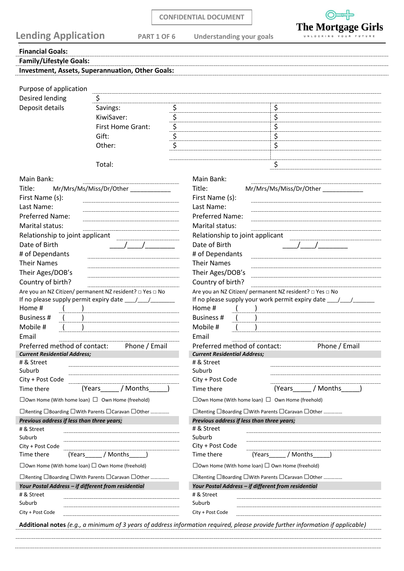| <b>CONFIDENTIAL DOCUMENT</b> |  |
|------------------------------|--|
|------------------------------|--|



| <b>Lending Application</b><br><b>PART 1 OF 6</b>            |                                                                                |                                     | <b>Understanding your goals</b>                                                  | UNLOCKING YOUR FUTURE   |
|-------------------------------------------------------------|--------------------------------------------------------------------------------|-------------------------------------|----------------------------------------------------------------------------------|-------------------------|
| <b>Financial Goals:</b>                                     |                                                                                |                                     |                                                                                  |                         |
| <b>Family/Lifestyle Goals:</b>                              |                                                                                |                                     |                                                                                  |                         |
|                                                             | Investment, Assets, Superannuation, Other Goals:                               |                                     |                                                                                  |                         |
|                                                             |                                                                                |                                     |                                                                                  |                         |
| Purpose of application                                      |                                                                                |                                     |                                                                                  |                         |
| Desired lending                                             | \$                                                                             |                                     |                                                                                  |                         |
| Deposit details                                             | Savings:                                                                       | \$                                  | \$                                                                               |                         |
|                                                             | KiwiSaver:                                                                     | $\frac{5}{5}$                       | \$                                                                               |                         |
|                                                             | First Home Grant:                                                              |                                     | \$                                                                               |                         |
|                                                             | Gift:                                                                          | $\overline{\boldsymbol{\varsigma}}$ | \$<br>$\overline{\mathsf{s}}$                                                    |                         |
|                                                             | Other:                                                                         |                                     |                                                                                  |                         |
|                                                             | Total:                                                                         |                                     | \$                                                                               |                         |
| Main Bank:                                                  |                                                                                |                                     | Main Bank:                                                                       |                         |
|                                                             |                                                                                |                                     |                                                                                  |                         |
| Title:<br>First Name (s):                                   | Mr/Mrs/Ms/Miss/Dr/Other                                                        |                                     | Title:<br>First Name (s):                                                        | Mr/Mrs/Ms/Miss/Dr/Other |
| Last Name:                                                  |                                                                                |                                     | Last Name:                                                                       |                         |
| <b>Preferred Name:</b>                                      |                                                                                |                                     | Preferred Name:                                                                  |                         |
| Marital status:                                             |                                                                                |                                     | Marital status:                                                                  |                         |
| Relationship to joint applicant                             |                                                                                |                                     | Relationship to joint applicant                                                  |                         |
| Date of Birth                                               |                                                                                |                                     | Date of Birth                                                                    |                         |
| # of Dependants                                             |                                                                                |                                     | # of Dependants                                                                  |                         |
| <b>Their Names</b>                                          |                                                                                |                                     | <b>Their Names</b>                                                               |                         |
| Their Ages/DOB's                                            |                                                                                |                                     | Their Ages/DOB's                                                                 |                         |
| Country of birth?                                           |                                                                                |                                     | Country of birth?                                                                |                         |
|                                                             | Are you an NZ Citizen/ permanent NZ resident? □ Yes □ No                       |                                     | Are you an NZ Citizen/ permanent NZ resident? □ Yes □ No                         |                         |
|                                                             |                                                                                |                                     | If no please supply your work permit expiry date _______________________________ |                         |
| Home #                                                      |                                                                                |                                     | Home #                                                                           |                         |
| <b>Business #</b><br>Mobile #                               |                                                                                |                                     | Business #<br>Mobile #                                                           |                         |
| Email                                                       |                                                                                |                                     | Email                                                                            |                         |
| Preferred method of contact:                                | Phone / Email                                                                  |                                     | Preferred method of contact:                                                     | Phone / Email           |
| <b>Current Residential Address;</b>                         |                                                                                |                                     | <b>Current Residential Address;</b>                                              |                         |
| # & Street                                                  |                                                                                |                                     | # & Street                                                                       |                         |
| Suburb                                                      |                                                                                |                                     | Suburb                                                                           |                         |
| City + Post Code                                            |                                                                                |                                     | City + Post Code                                                                 |                         |
| Time there                                                  | / Months<br>(Years                                                             |                                     | (Years<br>Time there                                                             | / Months                |
| $\Box$ Own Home (With home loan) $\Box$ Own Home (freehold) |                                                                                |                                     | $\Box$ Own Home (With home loan) $\Box$ Own Home (freehold)                      |                         |
|                                                             | □ Renting □ Boarding □ With Parents □ Caravan □ Other                          |                                     | □ Renting □ Boarding □ With Parents □ Caravan □ Other                            |                         |
| Previous address if less than three years;                  |                                                                                |                                     | Previous address if less than three years;<br># & Street                         |                         |
| # & Street<br>Suburb                                        |                                                                                |                                     | Suburb                                                                           |                         |
| City + Post Code                                            |                                                                                |                                     | City + Post Code                                                                 |                         |
| Time there<br>(Years                                        | / Months                                                                       |                                     | Time there<br>(Years                                                             | / Months                |
| $\Box$ Own Home (With home loan) $\Box$ Own Home (freehold) |                                                                                |                                     | $\Box$ Own Home (With home loan) $\Box$ Own Home (freehold)                      |                         |
|                                                             | $\Box$ Renting $\Box$ Boarding $\Box$ With Parents $\Box$ Caravan $\Box$ Other |                                     | $\Box$ Renting $\Box$ Boarding $\Box$ With Parents $\Box$ Caravan $\Box$ Other   |                         |
| Your Postal Address - if different from residential         |                                                                                |                                     | Your Postal Address - if different from residential                              |                         |
| # & Street                                                  |                                                                                |                                     | # & Street                                                                       |                         |
| Suburb                                                      |                                                                                |                                     | Suburb                                                                           |                         |
| City + Post Code                                            |                                                                                |                                     | City + Post Code                                                                 |                         |

**Additional notes** *(e.g., a minimum of 3 years of address information required, please provide further information if applicable)*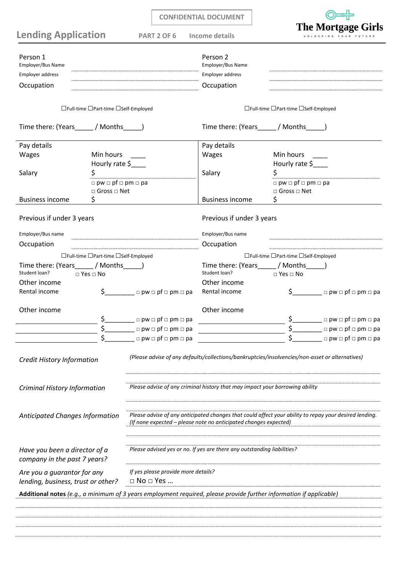|                                                                   |                                                                 |                                                                              | <b>CONFIDENTIAL DOCUMENT</b>                                            |                                                                                                                     |
|-------------------------------------------------------------------|-----------------------------------------------------------------|------------------------------------------------------------------------------|-------------------------------------------------------------------------|---------------------------------------------------------------------------------------------------------------------|
| <b>Lending Application</b>                                        |                                                                 | <b>PART 2 OF 6</b>                                                           | Income details                                                          | <b>The Mortgage Girls</b>                                                                                           |
| Person 1<br>Employer/Bus Name<br>Employer address<br>Occupation   |                                                                 |                                                                              | Person 2<br>Employer/Bus Name<br>Employer address<br>Occupation         |                                                                                                                     |
|                                                                   | □Full-time □Part-time □Self-Employed                            |                                                                              |                                                                         | □Full-time □Part-time □Self-Employed                                                                                |
| Time there: (Years_______/ Months______)                          |                                                                 |                                                                              | Time there: (Years________/ Months_______)                              |                                                                                                                     |
| Pay details                                                       |                                                                 |                                                                              | Pay details                                                             |                                                                                                                     |
| Wages                                                             | Min hours                                                       |                                                                              | Wages                                                                   | Min hours                                                                                                           |
| Salary                                                            | Hourly rate \$<br>\$<br>$\Box$ pw $\Box$ pf $\Box$ pm $\Box$ pa |                                                                              | Salary                                                                  | Hourly rate \$<br>\$<br>$\Box$ pw $\Box$ pf $\Box$ pm $\Box$ pa                                                     |
|                                                                   | $\Box$ Gross $\Box$ Net                                         |                                                                              |                                                                         | $\Box$ Gross $\Box$ Net                                                                                             |
| <b>Business income</b>                                            | \$                                                              |                                                                              | <b>Business income</b>                                                  | \$                                                                                                                  |
| Previous if under 3 years                                         |                                                                 |                                                                              | Previous if under 3 years                                               |                                                                                                                     |
| Employer/Bus name                                                 |                                                                 |                                                                              | Employer/Bus name                                                       |                                                                                                                     |
| Occupation                                                        |                                                                 |                                                                              | Occupation                                                              |                                                                                                                     |
| Time there: (Years______/ Months_____)<br>Student loan?           | □Full-time □Part-time □Self-Employed<br>$\Box$ Yes $\Box$ No    |                                                                              | Time there: (Years / Months )<br>Student loan?                          | □Full-time □Part-time □Self-Employed<br>$\Box$ Yes $\Box$ No                                                        |
| Other income                                                      |                                                                 |                                                                              | Other income                                                            |                                                                                                                     |
| Rental income                                                     |                                                                 | $\zeta$ pw $\Box$ pw $\Box$ pm $\Box$ pa                                     | Rental income                                                           | $\zeta$ pw $\Box$ pf $\Box$ pm $\Box$ pa                                                                            |
| Other income                                                      |                                                                 | $\Box$ pw $\Box$ pf $\Box$ pm $\Box$ pa                                      | Other income                                                            | $\Box$ pw $\Box$ pf $\Box$ pm $\Box$ pa                                                                             |
|                                                                   |                                                                 | $\Box$ pw $\Box$ pf $\Box$ pm $\Box$ pa                                      |                                                                         | $\Box$ pw $\Box$ pf $\Box$ pm $\Box$ pa                                                                             |
|                                                                   |                                                                 | $\Box$ pw $\Box$ pf $\Box$ pm $\Box$ pa                                      |                                                                         | $\Box$ pw $\Box$ pf $\Box$ pm $\Box$ pa                                                                             |
| Credit History Information                                        |                                                                 |                                                                              |                                                                         | (Please advise of any defaults/collections/bankruptcies/insolvencies/non-asset or alternatives)                     |
| Criminal History Information                                      |                                                                 | Please advise of any criminal history that may impact your borrowing ability |                                                                         |                                                                                                                     |
| Anticipated Changes Information                                   |                                                                 |                                                                              | (If none expected - please note no anticipated changes expected)        | Please advise of any anticipated changes that could affect your ability to repay your desired lending.              |
| Have you been a director of a<br>company in the past 7 years?     |                                                                 |                                                                              | Please advised yes or no. If yes are there any outstanding liabilities? |                                                                                                                     |
| Are you a guarantor for any<br>lending, business, trust or other? |                                                                 | If yes please provide more details?<br>$\Box$ No $\Box$ Yes                  |                                                                         |                                                                                                                     |
|                                                                   |                                                                 |                                                                              |                                                                         | Additional notes (e.g., a minimum of 3 years employment required, please provide further information if applicable) |
|                                                                   |                                                                 |                                                                              |                                                                         |                                                                                                                     |
|                                                                   |                                                                 |                                                                              |                                                                         |                                                                                                                     |
|                                                                   |                                                                 |                                                                              |                                                                         |                                                                                                                     |
|                                                                   |                                                                 |                                                                              |                                                                         |                                                                                                                     |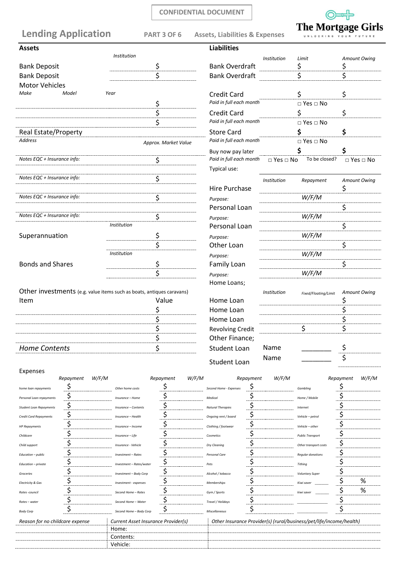#### **CONFIDENTIAL DOCUMENT**

## **Lending Application PART 3 OF 6 Assets, Liabilities & Expenses**



|  |  |  |  |  |  | ັັ                    |  |  |  |
|--|--|--|--|--|--|-----------------------|--|--|--|
|  |  |  |  |  |  | UNLOCKING YOUR FUTURI |  |  |  |

| <b>Assets</b>               |                                                                       | <b>Liabilities</b>      |                      |                      |                      |
|-----------------------------|-----------------------------------------------------------------------|-------------------------|----------------------|----------------------|----------------------|
|                             | Institution                                                           |                         | Institution          | Limit                | <b>Amount Owing</b>  |
| <b>Bank Deposit</b>         | \$                                                                    | <b>Bank Overdraft</b>   | \$                   |                      | \$                   |
| <b>Bank Deposit</b>         | Ś                                                                     | <b>Bank Overdraft</b>   | Ś                    |                      | \$                   |
| <b>Motor Vehicles</b>       |                                                                       |                         |                      |                      |                      |
| Make<br>Model               | Year                                                                  | <b>Credit Card</b>      | \$                   |                      | \$                   |
|                             | \$                                                                    | Paid in full each month |                      | $\Box$ Yes $\Box$ No |                      |
|                             | \$                                                                    | <b>Credit Card</b>      | \$                   |                      | \$                   |
|                             | \$                                                                    | Paid in full each month |                      | $\Box$ Yes $\Box$ No |                      |
| <b>Real Estate/Property</b> |                                                                       | <b>Store Card</b>       | \$                   |                      | \$                   |
| <b>Address</b>              | Approx. Market Value                                                  | Paid in full each month |                      | $\Box$ Yes $\Box$ No |                      |
|                             |                                                                       | Buy now pay later       | \$                   |                      |                      |
| Notes EQC + Insurance info: | \$                                                                    | Paid in full each month | $\Box$ Yes $\Box$ No | To be closed?        | $\Box$ Yes $\Box$ No |
|                             |                                                                       | Typical use:            |                      |                      |                      |
| Notes EQC + Insurance info: | \$                                                                    |                         | Institution          | Repayment            | Amount Owing         |
|                             |                                                                       | <b>Hire Purchase</b>    |                      |                      | \$                   |
| Notes EQC + Insurance info: | \$                                                                    | Purpose:                |                      | W/F/M                |                      |
|                             |                                                                       | Personal Loan           |                      |                      | \$                   |
| Notes EQC + Insurance info: | \$                                                                    | Purpose:                |                      | W/F/M                |                      |
|                             | Institution                                                           | Personal Loan           |                      |                      | \$                   |
| Superannuation              | \$                                                                    | Purpose:                |                      | W/F/M                |                      |
|                             | \$                                                                    | Other Loan              |                      |                      | \$                   |
|                             | Institution                                                           | Purpose:                |                      | W/F/M                |                      |
| <b>Bonds and Shares</b>     | \$                                                                    | Family Loan             |                      |                      | \$                   |
|                             | \$                                                                    | Purpose:                |                      | W/F/M                |                      |
|                             |                                                                       | Home Loans;             |                      |                      |                      |
|                             | Other investments (e.g. value items such as boats, antiques caravans) |                         | <i>Institution</i>   | Fixed/Floating/Limit | <b>Amount Owing</b>  |
| Item                        | Value                                                                 | Home Loan               |                      |                      | \$                   |
|                             | \$                                                                    | Home Loan               |                      |                      | \$                   |
|                             | \$                                                                    | Home Loan               |                      |                      | \$                   |
|                             | \$                                                                    | Revolving Credit        |                      | \$                   | \$                   |
|                             | \$                                                                    | Other Finance;          |                      |                      |                      |
| <b>Home Contents</b>        | \$                                                                    | Student Loan            | Name                 |                      | \$                   |
|                             |                                                                       | <b>Student Loan</b>     | Name                 |                      | \$                   |

# Expenses

|                                 | Repayment | W/F/M |                                     | Repayment | W/F/M |                          | Repayment | W/F/M |                                                                     | Repayment | W/F/M |
|---------------------------------|-----------|-------|-------------------------------------|-----------|-------|--------------------------|-----------|-------|---------------------------------------------------------------------|-----------|-------|
| home loan repayments            |           |       | Other home costs                    |           |       | Second Home - Expenses   |           |       | Gambling                                                            |           |       |
| Personal Loan repayments        |           |       | Insurance - Home                    |           |       | Medical                  |           |       | Home / Mobile                                                       |           |       |
| <b>Student Loan Repayments</b>  | Ş         |       | Insurance - Contents                |           |       | <b>Natural Therapies</b> |           |       | Internet                                                            |           |       |
| <b>Credit Card Repayments</b>   |           |       | Insurance - Health                  |           |       | Ongoing rent / board     | Ş         |       | Vehicle - petrol                                                    |           |       |
| <b>HP Repayments</b>            |           |       | Insurance - Income                  |           |       | Clothing / footwear      |           |       | Vehicle - other                                                     |           |       |
| Childcare                       |           |       | Insurance - Life                    |           |       | Cosmetics                |           |       | <b>Public Transport</b>                                             |           |       |
| Child support                   |           |       | Insurance - Vehicle                 |           |       | Dry Cleaning             |           |       | Other transport costs                                               |           |       |
| Education - public              |           |       | Investment - Rates                  |           |       | Personal Care            |           |       | <b>Regular donations</b>                                            |           |       |
| Education - private             |           |       | Investment - Rates/water            |           |       | Pets                     |           |       | <b>Tithing</b>                                                      |           |       |
| Groceries                       |           |       | Investment - Body Corp              |           |       | Alcohol / tobacco        |           |       | <b>Voluntary Super</b>                                              |           |       |
| <b>Electricity &amp; Gas</b>    |           |       | Investment - expenses               |           |       | Memberships              |           |       | Kiwi saver                                                          |           | %     |
| Rates-council                   |           |       | Second Home - Rates                 |           |       | Gym / Sports             |           |       | kiwi saver                                                          |           | %     |
| Rates - water                   |           |       | Second Home - Water                 |           |       | Travel / Holidays        |           |       |                                                                     |           |       |
| <b>Body Corp</b>                |           |       | Second Home - Body Corp             | ⇒         |       | Miscellaneous            |           |       |                                                                     |           |       |
| Reason for no childcare expense |           |       | Current Asset Insurance Provider(s) |           |       |                          |           |       | Other Insurance Provider(s) (rural/business/pet/life/income/health) |           |       |
|                                 |           |       | Home:                               |           |       |                          |           |       |                                                                     |           |       |
|                                 |           |       | Contents:                           |           |       |                          |           |       |                                                                     |           |       |
|                                 |           |       | Vehicle:                            |           |       |                          |           |       |                                                                     |           |       |
|                                 |           |       |                                     |           |       |                          |           |       |                                                                     |           |       |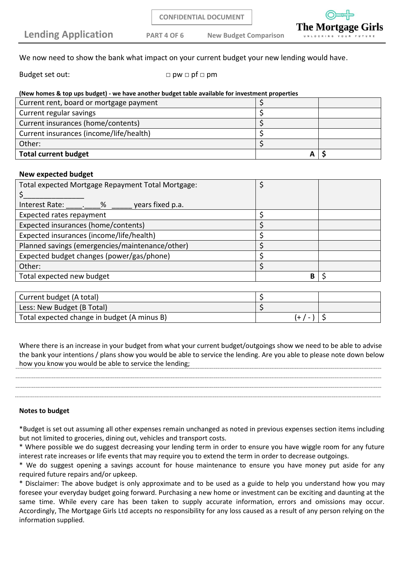**CONFIDENTIAL DOCUMENT**

**Lending Application PART 4 OF 6 New Budget Comparison**

The Mo

We now need to show the bank what impact on your current budget your new lending would have.

Budget set out:  $\Box$  pw  $\Box$  pf  $\Box$  pm

| (New homes & top ups budget) - we have another budget table available for investment properties |
|-------------------------------------------------------------------------------------------------|
|-------------------------------------------------------------------------------------------------|

| <b>Total current budget</b>             |  |
|-----------------------------------------|--|
| Other:                                  |  |
| Current insurances (income/life/health) |  |
| Current insurances (home/contents)      |  |
| Current regular savings                 |  |
| Current rent, board or mortgage payment |  |

#### **New expected budget**

| Total expected Mortgage Repayment Total Mortgage: |   |  |
|---------------------------------------------------|---|--|
|                                                   |   |  |
| Interest Rate:<br>years fixed p.a.<br>%           |   |  |
| Expected rates repayment                          |   |  |
| Expected insurances (home/contents)               |   |  |
| Expected insurances (income/life/health)          |   |  |
| Planned savings (emergencies/maintenance/other)   |   |  |
| Expected budget changes (power/gas/phone)         |   |  |
| Other:                                            |   |  |
| Total expected new budget                         | B |  |

| Current budget (A total)                    |          |  |
|---------------------------------------------|----------|--|
| Less: New Budget (B Total)                  |          |  |
| Total expected change in budget (A minus B) | (+ / - ) |  |

Where there is an increase in your budget from what your current budget/outgoings show we need to be able to advise the bank your intentions / plans show you would be able to service the lending. Are you able to please note down below how you know you would be able to service the lending;

#### **Notes to budget**

\*Budget is set out assuming all other expenses remain unchanged as noted in previous expenses section items including but not limited to groceries, dining out, vehicles and transport costs.

\* Where possible we do suggest decreasing your lending term in order to ensure you have wiggle room for any future interest rate increases or life events that may require you to extend the term in order to decrease outgoings.

\* We do suggest opening a savings account for house maintenance to ensure you have money put aside for any required future repairs and/or upkeep.

\* Disclaimer: The above budget is only approximate and to be used as a guide to help you understand how you may foresee your everyday budget going forward. Purchasing a new home or investment can be exciting and daunting at the same time. While every care has been taken to supply accurate information, errors and omissions may occur. Accordingly, The Mortgage Girls Ltd accepts no responsibility for any loss caused as a result of any person relying on the information supplied.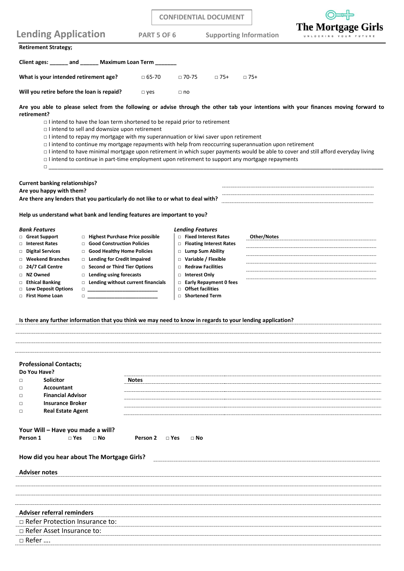|                                                                                                                                                                                                                                                                                                                                                                                                                                                                                                                                                                                                                                                                                                                                                                                                                                                                                                                                                                                                 |                          |                    | <b>CONFIDENTIAL DOCUMENT</b>                                                                                                                                                                                                                                       |             |                                                   |  |
|-------------------------------------------------------------------------------------------------------------------------------------------------------------------------------------------------------------------------------------------------------------------------------------------------------------------------------------------------------------------------------------------------------------------------------------------------------------------------------------------------------------------------------------------------------------------------------------------------------------------------------------------------------------------------------------------------------------------------------------------------------------------------------------------------------------------------------------------------------------------------------------------------------------------------------------------------------------------------------------------------|--------------------------|--------------------|--------------------------------------------------------------------------------------------------------------------------------------------------------------------------------------------------------------------------------------------------------------------|-------------|---------------------------------------------------|--|
| <b>Lending Application</b>                                                                                                                                                                                                                                                                                                                                                                                                                                                                                                                                                                                                                                                                                                                                                                                                                                                                                                                                                                      |                          | <b>PART 5 OF 6</b> | <b>Supporting Information</b>                                                                                                                                                                                                                                      |             | <b>The Mortgage Girls</b><br>UNLOCKING YOUR FUTUR |  |
| <b>Retirement Strategy;</b>                                                                                                                                                                                                                                                                                                                                                                                                                                                                                                                                                                                                                                                                                                                                                                                                                                                                                                                                                                     |                          |                    |                                                                                                                                                                                                                                                                    |             |                                                   |  |
| Client ages: ______ and ______ Maximum Loan Term ______                                                                                                                                                                                                                                                                                                                                                                                                                                                                                                                                                                                                                                                                                                                                                                                                                                                                                                                                         |                          |                    |                                                                                                                                                                                                                                                                    |             |                                                   |  |
| What is your intended retirement age?                                                                                                                                                                                                                                                                                                                                                                                                                                                                                                                                                                                                                                                                                                                                                                                                                                                                                                                                                           | $\Box$ 65-70             |                    | $\Box$ 70-75<br>$\Box$ 75+                                                                                                                                                                                                                                         | $\Box$ 75+  |                                                   |  |
| Will you retire before the loan is repaid?                                                                                                                                                                                                                                                                                                                                                                                                                                                                                                                                                                                                                                                                                                                                                                                                                                                                                                                                                      | $\square$ yes            |                    | $\Box$ no                                                                                                                                                                                                                                                          |             |                                                   |  |
| Are you able to please select from the following or advise through the other tab your intentions with your finances moving forward to<br>retirement?<br>$\Box$ I intend to have the loan term shortened to be repaid prior to retirement<br>$\Box$ I intend to sell and downsize upon retirement<br>$\Box$ I intend to repay my mortgage with my superannuation or kiwi saver upon retirement<br>$\Box$ I intend to continue my mortgage repayments with help from reoccurring superannuation upon retirement<br>I intend to have minimal mortgage upon retirement in which super payments would be able to cover and still afford everyday living<br>$\Box$ I intend to continue in part-time employment upon retirement to support any mortgage repayments<br>$\Box$ . The contract of the contract of the contract of the contract of the contract of the contract of the contract of the contract of the contract of the contract of the contract of the contract of the contract of the co |                          |                    |                                                                                                                                                                                                                                                                    |             |                                                   |  |
| <b>Current banking relationships?</b><br>Are you happy with them?<br>Are there any lenders that you particularly do not like to or what to deal with?                                                                                                                                                                                                                                                                                                                                                                                                                                                                                                                                                                                                                                                                                                                                                                                                                                           |                          |                    |                                                                                                                                                                                                                                                                    |             |                                                   |  |
| Help us understand what bank and lending features are important to you?                                                                                                                                                                                                                                                                                                                                                                                                                                                                                                                                                                                                                                                                                                                                                                                                                                                                                                                         |                          |                    |                                                                                                                                                                                                                                                                    |             |                                                   |  |
| <b>Bank Features</b><br>□ Highest Purchase Price possible<br>□ Great Support<br>□ Good Construction Policies<br>□ Interest Rates<br>Good Healthy Home Policies<br>□ Digital Services<br><b>Weekend Branches</b><br>□ Lending for Credit Impaired<br>□<br>□ Second or Third Tier Options<br>□ 24/7 Call Centre<br>□ NZ Owned<br>$\Box$ Lending using forecasts<br><b>Ethical Banking</b><br>$\Box$ Lending without current financials<br>□<br><b>Low Deposit Options</b><br>□<br><b>First Home Loan</b><br>$\Box$ and the set of the set of the set of the set of the set of the set of the set of the set of the set of the set of the set of the set of the set of the set of the set of the set of the set of the set of the set of the<br>п<br>Is there any further information that you think we may need to know in regards to your lending application?                                                                                                                                   |                          | $\Box$             | <b>Lending Features</b><br>□ Fixed Interest Rates<br>□ Floating Interest Rates<br>□ Lump Sum Ability<br>$\Box$ Variable / Flexible<br>$\Box$ Redraw Facilities<br>□ Interest Only<br>$\Box$ Early Repayment 0 fees<br>□ Offset facilities<br><b>Shortened Term</b> | Other/Notes |                                                   |  |
| <b>Professional Contacts;</b><br>Do You Have?<br><b>Solicitor</b><br>$\Box$<br>Accountant<br>$\Box$<br><b>Financial Advisor</b><br>$\Box$<br><b>Insurance Broker</b><br>$\Box$<br><b>Real Estate Agent</b><br>$\Box$<br>Your Will - Have you made a will?<br>$\sqcap$ Yes<br>Person 1<br>$\Box$ No<br>How did you hear about The Mortgage Girls?<br><b>Adviser notes</b>                                                                                                                                                                                                                                                                                                                                                                                                                                                                                                                                                                                                                        | <b>Notes</b><br>Person 2 | $\Box$ Yes         | $\Box$ No                                                                                                                                                                                                                                                          |             |                                                   |  |
| <b>Adviser referral reminders</b><br>$\Box$ Refer Protection Insurance to:<br>$\Box$ Refer Asset Insurance to:<br>□ Refer                                                                                                                                                                                                                                                                                                                                                                                                                                                                                                                                                                                                                                                                                                                                                                                                                                                                       |                          |                    |                                                                                                                                                                                                                                                                    |             |                                                   |  |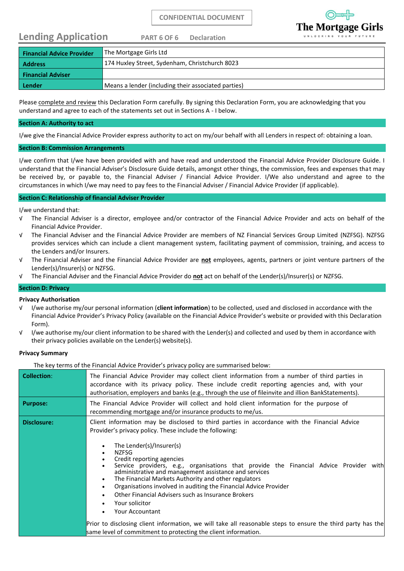### **Lending Application PART 6 OF 6 Declaration**



| <b>Financial Advice Provider</b> | The Mortgage Girls Ltd                              |
|----------------------------------|-----------------------------------------------------|
| <b>Address</b>                   | 174 Huxley Street, Sydenham, Christchurch 8023      |
| <b>Financial Adviser</b>         |                                                     |
| Lender                           | Means a lender (including their associated parties) |
|                                  |                                                     |

Please complete and review this Declaration Form carefully. By signing this Declaration Form, you are acknowledging that you understand and agree to each of the statements set out in Sections A - I below.

#### **Section A: Authority to act**

I/we give the Financial Advice Provider express authority to act on my/our behalf with all Lenders in respect of: obtaining a loan.

#### **Section B: Commission Arrangements**

I/we confirm that I/we have been provided with and have read and understood the Financial Advice Provider Disclosure Guide. I understand that the Financial Adviser's Disclosure Guide details, amongst other things, the commission, fees and expenses that may be received by, or payable to, the Financial Adviser / Financial Advice Provider. I/We also understand and agree to the circumstances in which I/we may need to pay fees to the Financial Adviser / Financial Advice Provider (if applicable).

#### **Section C: Relationship of financial Adviser Provider**

I/we understand that:

- √ The Financial Adviser is a director, employee and/or contractor of the Financial Advice Provider and acts on behalf of the Financial Advice Provider.
- √ The Financial Adviser and the Financial Advice Provider are members of NZ Financial Services Group Limited (NZFSG). NZFSG provides services which can include a client management system, facilitating payment of commission, training, and access to the Lenders and/or Insurers.
- √ The Financial Adviser and the Financial Advice Provider are **not** employees, agents, partners or joint venture partners of the Lender(s)/Insurer(s) or NZFSG.
- √ The Financial Adviser and the Financial Advice Provider do **not** act on behalf of the Lender(s)/Insurer(s) or NZFSG.

#### **Section D: Privacy**

#### **Privacy Authorisation**

- √ I/we authorise my/our personal information (**client information**) to be collected, used and disclosed in accordance with the Financial Advice Provider's Privacy Policy (available on the Financial Advice Provider's website or provided with this Declaration Form).
- √ I/we authorise my/our client information to be shared with the Lender(s) and collected and used by them in accordance with their privacy policies available on the Lender(s) website(s).

#### **Privacy Summary**

The key terms of the Financial Advice Provider's privacy policy are summarised below:

| <b>Collection:</b> | The Financial Advice Provider may collect client information from a number of third parties in<br>accordance with its privacy policy. These include credit reporting agencies and, with your<br>authorisation, employers and banks (e.g., through the use of fileinvite and illion BankStatements).                                                                                                                                                                                                                                                                                                                                                                                                                                                                                                             |
|--------------------|-----------------------------------------------------------------------------------------------------------------------------------------------------------------------------------------------------------------------------------------------------------------------------------------------------------------------------------------------------------------------------------------------------------------------------------------------------------------------------------------------------------------------------------------------------------------------------------------------------------------------------------------------------------------------------------------------------------------------------------------------------------------------------------------------------------------|
| <b>Purpose:</b>    | The Financial Advice Provider will collect and hold client information for the purpose of<br>recommending mortgage and/or insurance products to me/us.                                                                                                                                                                                                                                                                                                                                                                                                                                                                                                                                                                                                                                                          |
| Disclosure:        | Client information may be disclosed to third parties in accordance with the Financial Advice<br>Provider's privacy policy. These include the following:<br>The Lender(s)/Insurer(s)<br><b>NZFSG</b><br>Credit reporting agencies<br>Service providers, e.g., organisations that provide the Financial Advice Provider with<br>administrative and management assistance and services<br>The Financial Markets Authority and other regulators<br>$\bullet$<br>Organisations involved in auditing the Financial Advice Provider<br>Other Financial Advisers such as Insurance Brokers<br>Your solicitor<br><b>Your Accountant</b><br>Prior to disclosing client information, we will take all reasonable steps to ensure the third party has the<br>same level of commitment to protecting the client information. |